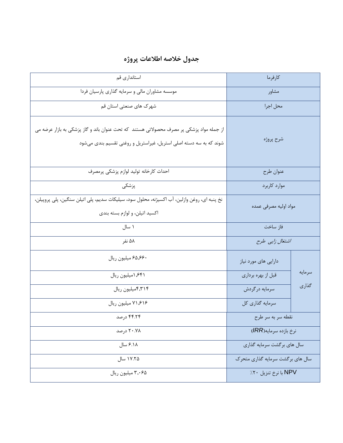## **جدول خالصه اطالعات پروژه**

| استانداری قم                                                                                                                                                   | كارفرما                          |        |
|----------------------------------------------------------------------------------------------------------------------------------------------------------------|----------------------------------|--------|
| موسسه مشاوران مالی و سرمایه گذاری پارسیان فردا                                                                                                                 | مشاور                            |        |
| شهرک های صنعتی استان قم                                                                                                                                        | محل اجرا                         |        |
| از جمله مواد پزشکی پر مصرف محصولاتی هستند که تحت عنوان باند و گاز پزشکی به بازار عرضه می<br>شوند که به سه دسته اصلی استریل، غیراستریل و روغنی تقسیم بندی میشود | شرح پروژه                        |        |
| احداث كارخانه توليد لوازم پزشكي پرمصرف                                                                                                                         | عنوان طرح                        |        |
| پزشکی                                                                                                                                                          | موارد کاربرد                     |        |
| نخ پنبه ای، روغن وازلین، آب اکسیژنه، محلول سود، سیلیکات سدیم، پلی اتیلن سنگین، پلی پروپیلن،<br>اکسید اتیلن، و لوازم بسته بندی                                  | مواد اوليه مصرفى عمده            |        |
| ۱ سال                                                                                                                                                          | فاز ساخت                         |        |
| ۵۸ نفر                                                                                                                                                         | اشتغال زایی طرح                  |        |
| ۶۵٬۶۶۰ میلیون ریال                                                                                                                                             | دارایی های مورد نیاز             |        |
| ۶۴۱, ۱میلیون ریال                                                                                                                                              | قبل از بهره برداري               | سرمايه |
| ۴٫۳۱۴میلیون ریال                                                                                                                                               | سرمايه درگردش                    | گذاری  |
| ۷۱٬۶۱۶ میلیون ریال                                                                                                                                             | سرمايه گذاري كل                  |        |
| ۴۴.۲۴ درصد                                                                                                                                                     | نقطه سربه سرطرح                  |        |
| ۲۰.۷۸ درصد                                                                                                                                                     | نرخ بازده سرمايه(IRR)            |        |
| ۶.۱۸ سال                                                                                                                                                       | سال های بر گشت سرمایه گذاری      |        |
| ۱۷.۲۵ سال                                                                                                                                                      | سال های برگشت سرمایه گذاری متحرک |        |
| ۳٫۰۶۵ میلیون ریال                                                                                                                                              | NPV با نرخ تنزيل ٢٠٪             |        |